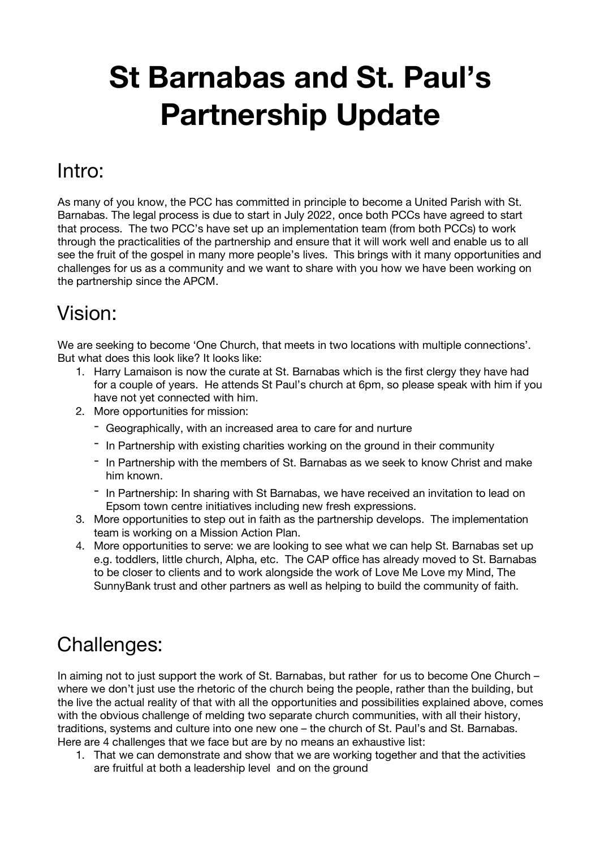# **St Barnabas and St. Paul's Partnership Update**

#### Intro:

As many of you know, the PCC has committed in principle to become a United Parish with St. Barnabas. The legal process is due to start in July 2022, once both PCCs have agreed to start that process. The two PCC's have set up an implementation team (from both PCCs) to work through the practicalities of the partnership and ensure that it will work well and enable us to all see the fruit of the gospel in many more people's lives. This brings with it many opportunities and challenges for us as a community and we want to share with you how we have been working on the partnership since the APCM.

## Vision:

We are seeking to become 'One Church, that meets in two locations with multiple connections'. But what does this look like? It looks like:

- 1. Harry Lamaison is now the curate at St. Barnabas which is the first clergy they have had for a couple of years. He attends St Paul's church at 6pm, so please speak with him if you have not yet connected with him.
- 2. More opportunities for mission:
	- Geographically, with an increased area to care for and nurture
	- In Partnership with existing charities working on the ground in their community
	- In Partnership with the members of St. Barnabas as we seek to know Christ and make him known.
	- In Partnership: In sharing with St Barnabas, we have received an invitation to lead on Epsom town centre initiatives including new fresh expressions.
- 3. More opportunities to step out in faith as the partnership develops. The implementation team is working on a Mission Action Plan.
- 4. More opportunities to serve: we are looking to see what we can help St. Barnabas set up e.g. toddlers, little church, Alpha, etc. The CAP office has already moved to St. Barnabas to be closer to clients and to work alongside the work of Love Me Love my Mind, The SunnyBank trust and other partners as well as helping to build the community of faith.

## Challenges:

In aiming not to just support the work of St. Barnabas, but rather for us to become One Church – where we don't just use the rhetoric of the church being the people, rather than the building, but the live the actual reality of that with all the opportunities and possibilities explained above, comes with the obvious challenge of melding two separate church communities, with all their history, traditions, systems and culture into one new one – the church of St. Paul's and St. Barnabas. Here are 4 challenges that we face but are by no means an exhaustive list:

1. That we can demonstrate and show that we are working together and that the activities are fruitful at both a leadership level and on the ground